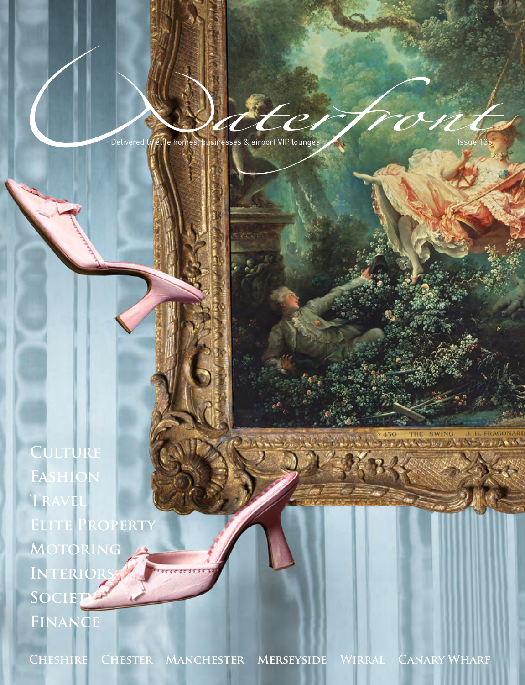Delivered to elite homes, businesses & airport VIP lounges And The Communist Service 135

**Culture Fashion Travel Elite Property Motoring INTERIOR Society Finance**

**Cheshire Chester Manchester Merseyside Wirral Canary Wharf**

**EXAMPLE SWING J. H. FRAGONARD**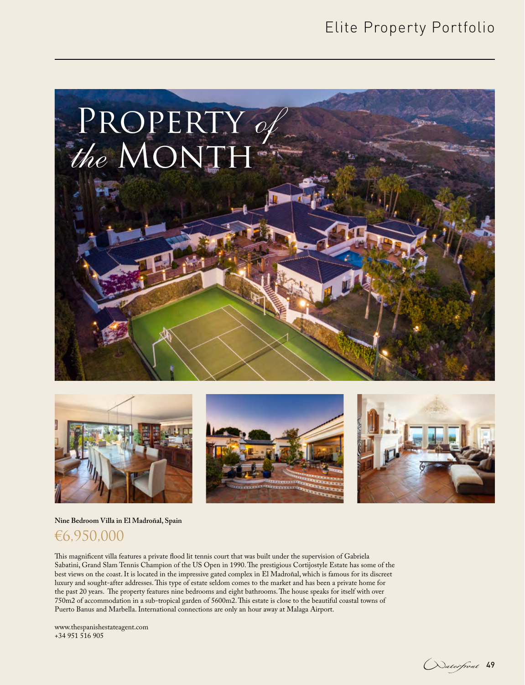# Elite Property Portfolio









#### **Nine Bedroom Villa in El Madroñal, Spain**

## €6,950,000

This magnificent villa features a private flood lit tennis court that was built under the supervision of Gabriela Sabatini, Grand Slam Tennis Champion of the US Open in 1990. The prestigious Cortijostyle Estate has some of the best views on the coast. It is located in the impressive gated complex in El Madroñal, which is famous for its discreet luxury and sought-after addresses. This type of estate seldom comes to the market and has been a private home for the past 20 years. The property features nine bedrooms and eight bathrooms. The house speaks for itself with over 750m2 of accommodation in a sub-tropical garden of 5600m2. This estate is close to the beautiful coastal towns of Puerto Banus and Marbella. International connections are only an hour away at Malaga Airport.

www.thespanishestateagent.com +34 951 516 905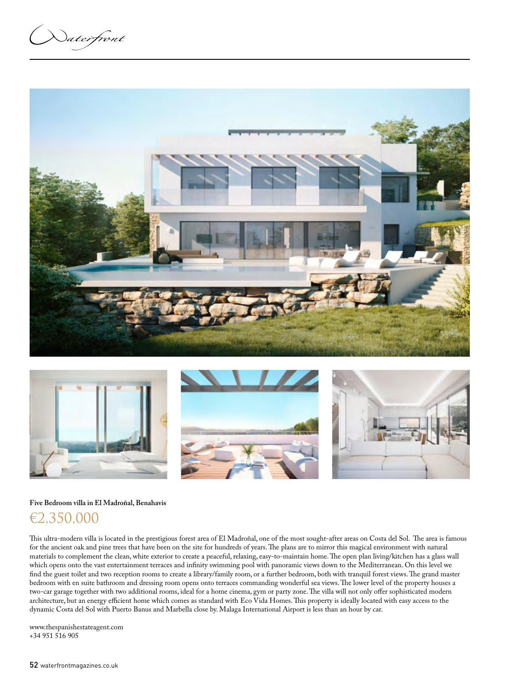Naterfront





### **Five Bedroom villa in El Madroñal, Benahavis** €2,350,000

This ultra-modern villa is located in the prestigious forest area of El Madroñal, one of the most sought-after areas on Costa del Sol. The area is famous for the ancient oak and pine trees that have been on the site for hundreds of years. The plans are to mirror this magical environment with natural materials to complement the clean, white exterior to create a peaceful, relaxing, easy-to-maintain home. The open plan living/kitchen has a glass wall which opens onto the vast entertainment terraces and infinity swimming pool with panoramic views down to the Mediterranean. On this level we find the guest toilet and two reception rooms to create a library/family room, or a further bedroom, both with tranquil forest views. The grand master bedroom with en suite bathroom and dressing room opens onto terraces commanding wonderful sea views. The lower level of the property houses a two-car garage together with two additional rooms, ideal for a home cinema, gym or party zone. The villa will not only offer sophisticated modern architecture, but an energy efficient home which comes as standard with Eco Vida Homes. This property is ideally located with easy access to the dynamic Costa del Sol with Puerto Banus and Marbella close by. Malaga International Airport is less than an hour by car.

www.thespanishestateagent.com +34 951 516 905